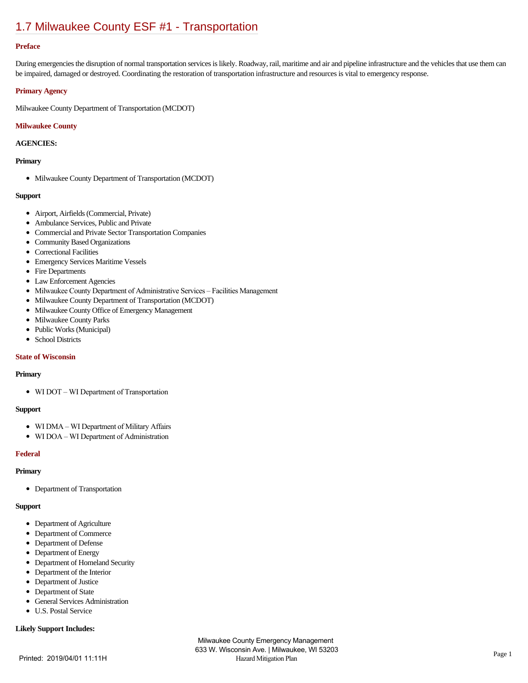# [1.7 Milwaukee County ESF #1 - Transportation](https://milwaukeecounty.isc-cemp.com/Cemp/Details?id=5805886)

#### **Preface**

During emergencies the disruption of normal transportation services is likely. Roadway, rail, maritime and air and pipeline infrastructure and the vehicles that use them can be impaired, damaged or destroyed. Coordinating the restoration of transportation infrastructure and resources is vital to emergency response.

#### **Primary Agency**

Milwaukee County Department of Transportation (MCDOT)

#### **Milwaukee County**

**AGENCIES:**

#### **Primary**

 $\bullet$  Milwaukee County Department of Transportation (MCDOT)

#### **Support**

- Airport, Airfields (Commercial, Private)
- $\bullet$ Ambulance Services, Public and Private
- $\bullet$ Commercial and Private Sector Transportation Companies
- Community Based Organizations
- Correctional Facilities
- Emergency Services Maritime Vessels
- Fire Departments
- Law Enforcement Agencies
- $\bullet$ Milwaukee County Department of Administrative Services – Facilities Management
- $\bullet$ Milwaukee County Department of Transportation (MCDOT)
- $\bullet$ Milwaukee County Office of Emergency Management
- Milwaukee County Parks  $\bullet$
- $\bullet$ Public Works (Municipal)
- $\bullet$ School Districts

## **State of Wisconsin**

#### **Primary**

WI DOT – WI Department of Transportation

#### **Support**

- WI DMA WI Department of Military Affairs
- WI DOA WI Department of Administration  $\bullet$

# **Federal**

## **Primary**

Department of Transportation

# **Support**

- Department of Agriculture
- Department of Commerce
- Department of Defense
- Department of Energy
- Department of Homeland Security
- $\bullet$ Department of the Interior
- $\bullet$ Department of Justice
- $\bullet$ Department of State
- $\bullet$ General Services Administration
- U.S. Postal Service

## **Likely Support Includes:**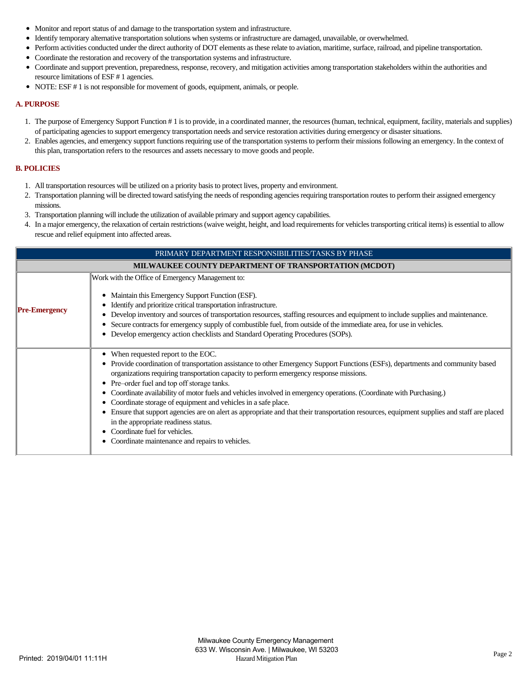- $\bullet$ Monitor and report status of and damage to the transportation system and infrastructure.
- $\bullet$ Identify temporary alternative transportation solutions when systems or infrastructure are damaged, unavailable, or overwhelmed.
- Perform activities conducted under the direct authority of DOT elements as these relate to aviation, maritime, surface, railroad, and pipeline transportation.  $\bullet$
- Coordinate the restoration and recovery of the transportation systems and infrastructure.  $\bullet$
- Coordinate and support prevention, preparedness, response, recovery, and mitigation activities among transportation stakeholders within the authorities and  $\bullet$ resource limitations of ESF # 1 agencies.
- NOTE: ESF # 1 is not responsible for movement of goods, equipment, animals, or people.

## **A. PURPOSE**

- 1. The purpose of Emergency Support Function # 1 is to provide, in a coordinated manner, the resources (human, technical, equipment, facility, materials and supplies) of participating agencies to support emergency transportation needs and service restoration activities during emergency or disaster situations.
- 2. Enables agencies, and emergency support functions requiring use of the transportation systems to perform their missions following an emergency. In the context of this plan, transportation refers to the resources and assets necessary to move goods and people.

## **B. POLICIES**

- 1. All transportation resources will be utilized on a priority basis to protect lives, property and environment.
- 2. Transportation planning will be directed toward satisfying the needs of responding agencies requiring transportation routes to perform their assigned emergency missions.
- 3. Transportation planning will include the utilization of available primary and support agency capabilities.
- 4. In a major emergency, the relaxation of certain restrictions (waive weight, height, and load requirements for vehicles transporting critical items) is essential to allow rescue and relief equipment into affected areas.

| PRIMARY DEPARTMENT RESPONSIBILITIES/TASKS BY PHASE           |                                                                                                                                                                                                                                                                                                                                                                                                                                                                                                                                                                                                                                                                                                                                                                                      |
|--------------------------------------------------------------|--------------------------------------------------------------------------------------------------------------------------------------------------------------------------------------------------------------------------------------------------------------------------------------------------------------------------------------------------------------------------------------------------------------------------------------------------------------------------------------------------------------------------------------------------------------------------------------------------------------------------------------------------------------------------------------------------------------------------------------------------------------------------------------|
| <b>MILWAUKEE COUNTY DEPARTMENT OF TRANSPORTATION (MCDOT)</b> |                                                                                                                                                                                                                                                                                                                                                                                                                                                                                                                                                                                                                                                                                                                                                                                      |
| <b>Pre-Emergency</b>                                         | Work with the Office of Emergency Management to:<br>Maintain this Emergency Support Function (ESF).<br>Identify and prioritize critical transportation infrastructure.<br>Develop inventory and sources of transportation resources, staffing resources and equipment to include supplies and maintenance.<br>Secure contracts for emergency supply of combustible fuel, from outside of the immediate area, for use in vehicles.<br>Develop emergency action checklists and Standard Operating Procedures (SOPs).                                                                                                                                                                                                                                                                   |
|                                                              | • When requested report to the EOC.<br>Provide coordination of transportation assistance to other Emergency Support Functions (ESFs), departments and community based<br>organizations requiring transportation capacity to perform emergency response missions.<br>Pre-order fuel and top off storage tanks.<br>Coordinate availability of motor fuels and vehicles involved in emergency operations. (Coordinate with Purchasing.)<br>٠<br>Coordinate storage of equipment and vehicles in a safe place.<br>Ensure that support agencies are on a lert as appropriate and that their transportation resources, equipment supplies and staff are placed<br>in the appropriate readiness status.<br>Coordinate fuel for vehicles.<br>Coordinate maintenance and repairs to vehicles. |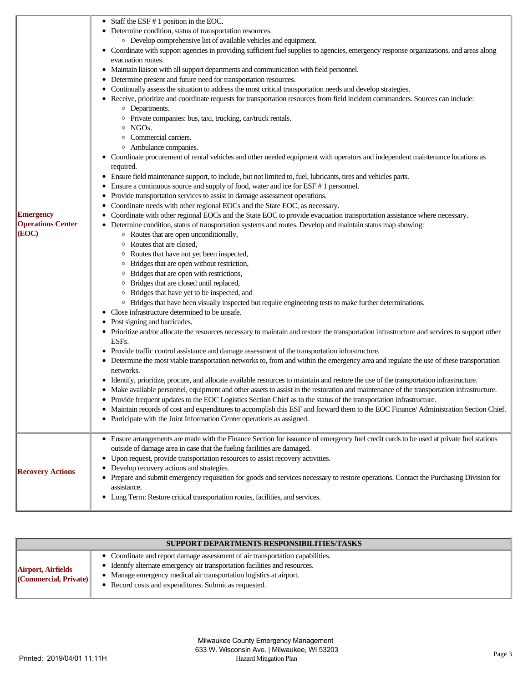| <b>Emergency</b><br><b>Operations Center</b><br>(EOC) | • Staff the ESF #1 position in the EOC.<br>• Determine condition, status of transportation resources.<br>• Develop comprehensive list of available vehicles and equipment.<br>• Coordinate with support agencies in providing sufficient fuel supplies to agencies, emergency response organizations, and areas along<br>evacuation routes.<br>• Maintain liaison with all support departments and communication with field personnel.<br>• Determine present and future need for transportation resources.<br>• Continually assess the situation to address the most critical transportation needs and develop strategies.<br>• Receive, prioritize and coordinate requests for transportation resources from field incident commanders. Sources can include:<br>• Departments.<br>• Private companies: bus, taxi, trucking, car/truck rentals.<br>$\circ$ NGOs.<br>• Commercial carriers.<br>○ Ambulance companies.<br>• Coordinate procurement of rental vehicles and other needed equipment with operators and independent maintenance locations as<br>required.<br>• Ensure field maintenance support, to include, but not limited to, fuel, lubricants, tires and vehicles parts.<br>• Ensure a continuous source and supply of food, water and ice for ESF # 1 personnel.<br>• Provide transportation services to assist in damage assessment operations.<br>• Coordinate needs with other regional EOCs and the State EOC, as necessary.<br>• Coordinate with other regional EOCs and the State EOC to provide evacuation transportation assistance where necessary.<br>• Determine condition, status of transportation systems and routes. Develop and maintain status map showing:<br><sup>o</sup> Routes that are open unconditionally,<br>○ Routes that are closed,<br>• Routes that have not yet been inspected,<br><sup>o</sup> Bridges that are open without restriction,<br><sup>o</sup> Bridges that are open with restrictions,<br><sup>o</sup> Bridges that are closed until replaced,<br><sup>o</sup> Bridges that have yet to be inspected, and<br><sup>o</sup> Bridges that have been visually inspected but require engineering tests to make further determinations.<br>• Close infrastructure determined to be unsafe.<br>• Post signing and barricades.<br>• Prioritize and/or allocate the resources necessary to maintain and restore the transportation infrastructure and services to support other<br>ESFs.<br>• Provide traffic control assistance and damage assessment of the transportation infrastructure.<br>• Determine the most viable transportation networks to, from and within the emergency area and regulate the use of these transportation<br>networks.<br>• Identify, prioritize, procure, and allocate available resources to maintain and restore the use of the transportation infrastructure.<br>• Make available personnel, equipment and other assets to assist in the restoration and maintenance of the transportation infrastructure.<br>Provide frequent updates to the EOC Logistics Section Chief as to the status of the transportation infrastructure.<br>• Maintain records of cost and expenditures to accomplish this ESF and forward them to the EOC Finance/Administration Section Chief.<br>• Participate with the Joint Information Center operations as assigned. |
|-------------------------------------------------------|-----------------------------------------------------------------------------------------------------------------------------------------------------------------------------------------------------------------------------------------------------------------------------------------------------------------------------------------------------------------------------------------------------------------------------------------------------------------------------------------------------------------------------------------------------------------------------------------------------------------------------------------------------------------------------------------------------------------------------------------------------------------------------------------------------------------------------------------------------------------------------------------------------------------------------------------------------------------------------------------------------------------------------------------------------------------------------------------------------------------------------------------------------------------------------------------------------------------------------------------------------------------------------------------------------------------------------------------------------------------------------------------------------------------------------------------------------------------------------------------------------------------------------------------------------------------------------------------------------------------------------------------------------------------------------------------------------------------------------------------------------------------------------------------------------------------------------------------------------------------------------------------------------------------------------------------------------------------------------------------------------------------------------------------------------------------------------------------------------------------------------------------------------------------------------------------------------------------------------------------------------------------------------------------------------------------------------------------------------------------------------------------------------------------------------------------------------------------------------------------------------------------------------------------------------------------------------------------------------------------------------------------------------------------------------------------------------------------------------------------------------------------------------------------------------------------------------------------------------------------------------------------------------------------------------------------------------------------------------------------------------------------------------------------------------------------------------------------------------------------------------------------------------------------------------------------------------------------------------------------------------------------------------------------------------------------------------------------|
| <b>Recovery Actions</b>                               | • Ensure arrangements are made with the Finance Section for issuance of emergency fuel credit cards to be used at private fuel stations<br>outside of damage area in case that the fueling facilities are damaged.<br>• Upon request, provide transportation resources to assist recovery activities.<br>Develop recovery actions and strategies.<br>• Prepare and submit emergency requisition for goods and services necessary to restore operations. Contact the Purchasing Division for<br>assistance.<br>• Long Term: Restore critical transportation routes, facilities, and services.                                                                                                                                                                                                                                                                                                                                                                                                                                                                                                                                                                                                                                                                                                                                                                                                                                                                                                                                                                                                                                                                                                                                                                                                                                                                                                                                                                                                                                                                                                                                                                                                                                                                                                                                                                                                                                                                                                                                                                                                                                                                                                                                                                                                                                                                                                                                                                                                                                                                                                                                                                                                                                                                                                                                            |

| SUPPORT DEPARTMENTS RESPONSIBILITIES/TASKS            |                                                                                                                                                                                                                                                                                        |
|-------------------------------------------------------|----------------------------------------------------------------------------------------------------------------------------------------------------------------------------------------------------------------------------------------------------------------------------------------|
| Airport, Airfields<br>$\ $ (Commercial, Private) $\ $ | • Coordinate and report damage assessment of air transportation capabilities.<br>Identify alternate emergency air transportation facilities and resources.<br>Manage emergency medical air transportation logistics at airport.<br>Record costs and expenditures. Submit as requested. |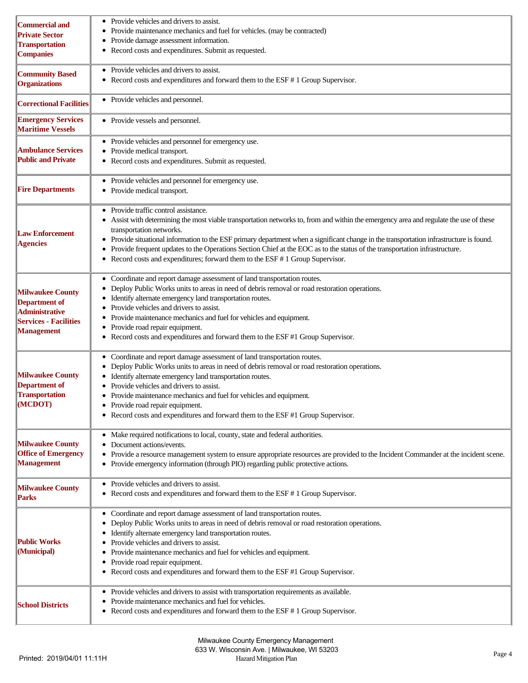| <b>Commercial and</b>                                 | Provide vehicles and drivers to assist.                                                                                                                              |
|-------------------------------------------------------|----------------------------------------------------------------------------------------------------------------------------------------------------------------------|
| <b>Private Sector</b>                                 | Provide maintenance mechanics and fuel for vehicles. (may be contracted)                                                                                             |
| <b>Transportation</b>                                 | Provide damage assessment information.<br>٠<br>Record costs and expenditures. Submit as requested.<br>٠                                                              |
| <b>Companies</b>                                      |                                                                                                                                                                      |
| <b>Community Based</b>                                | • Provide vehicles and drivers to assist.                                                                                                                            |
| <b>Organizations</b>                                  | Record costs and expenditures and forward them to the ESF # 1 Group Supervisor.                                                                                      |
| <b>Correctional Facilities</b>                        | • Provide vehicles and personnel.                                                                                                                                    |
| <b>Emergency Services</b><br><b>Maritime Vessels</b>  | • Provide vessels and personnel.                                                                                                                                     |
|                                                       | • Provide vehicles and personnel for emergency use.                                                                                                                  |
| <b>Ambulance Services</b>                             | • Provide medical transport.                                                                                                                                         |
| <b>Public and Private</b>                             | • Record costs and expenditures. Submit as requested.                                                                                                                |
|                                                       | Provide vehicles and personnel for emergency use.                                                                                                                    |
| <b>Fire Departments</b>                               | Provide medical transport.<br>٠                                                                                                                                      |
|                                                       | Provide traffic control assistance.<br>٠                                                                                                                             |
|                                                       | Assist with determining the most viable transportation networks to, from and within the emergency area and regulate the use of these<br>٠                            |
| Law Enforcement                                       | transportation networks.<br>• Provide situational information to the ESF primary department when a significant change in the transportation infrastructure is found. |
| <b>Agencies</b>                                       | Provide frequent updates to the Operations Section Chief at the EOC as to the status of the transportation infrastructure.<br>٠                                      |
|                                                       | Record costs and expenditures; forward them to the ESF #1 Group Supervisor.<br>٠                                                                                     |
|                                                       | Coordinate and report damage assessment of land transportation routes.                                                                                               |
| <b>Milwaukee County</b>                               | Deploy Public Works units to areas in need of debris removal or road restoration operations.<br>٠                                                                    |
| <b>Department of</b>                                  | Identify alternate emergency land transportation routes.                                                                                                             |
| <b>Administrative</b>                                 | Provide vehicles and drivers to assist.<br>Provide maintenance mechanics and fuel for vehicles and equipment.                                                        |
| <b>Services - Facilities</b>                          | Provide road repair equipment.<br>٠                                                                                                                                  |
| <b>Management</b>                                     | Record costs and expenditures and forward them to the ESF #1 Group Supervisor.                                                                                       |
|                                                       | Coordinate and report damage assessment of land transportation routes.                                                                                               |
|                                                       | Deploy Public Works units to areas in need of debris removal or road restoration operations.<br>٠                                                                    |
| <b>Milwaukee County</b><br><b>Department of</b>       | Identify alternate emergency land transportation routes.<br>٠<br>Provide vehicles and drivers to assist.                                                             |
| <b>Transportation</b>                                 | • Provide maintenance mechanics and fuel for vehicles and equipment.                                                                                                 |
| (MCDOT)                                               | Provide road repair equipment.<br>٠                                                                                                                                  |
|                                                       | • Record costs and expenditures and forward them to the ESF #1 Group Supervisor.                                                                                     |
|                                                       | Make required notifications to local, county, state and federal authorities.<br>٠                                                                                    |
| <b>Milwaukee County</b><br><b>Office of Emergency</b> | Document actions/events.<br>Provide a resource management system to ensure appropriate resources are provided to the Incident Commander at the incident scene.<br>٠  |
| <b>Management</b>                                     | Provide emergency information (through PIO) regarding public protective actions.<br>$\bullet$                                                                        |
|                                                       | • Provide vehicles and drivers to assist.                                                                                                                            |
| <b>Milwaukee County</b><br><b>Parks</b>               | Record costs and expenditures and forward them to the ESF # 1 Group Supervisor.<br>٠                                                                                 |
|                                                       | Coordinate and report damage assessment of land transportation routes.<br>$\bullet$                                                                                  |
|                                                       | Deploy Public Works units to areas in need of debris removal or road restoration operations.<br>٠                                                                    |
|                                                       | Identify alternate emergency land transportation routes.                                                                                                             |
| <b>Public Works</b><br>(Municipal)                    | Provide vehicles and drivers to assist.<br>٠<br>Provide maintenance mechanics and fuel for vehicles and equipment.<br>٠                                              |
|                                                       | Provide road repair equipment.<br>٠                                                                                                                                  |
|                                                       | Record costs and expenditures and forward them to the ESF #1 Group Supervisor.                                                                                       |
|                                                       | • Provide vehicles and drivers to assist with transportation requirements as available.                                                                              |
| <b>School Districts</b>                               | Provide maintenance mechanics and fuel for vehicles.<br>٠                                                                                                            |
|                                                       | • Record costs and expenditures and forward them to the ESF # 1 Group Supervisor.                                                                                    |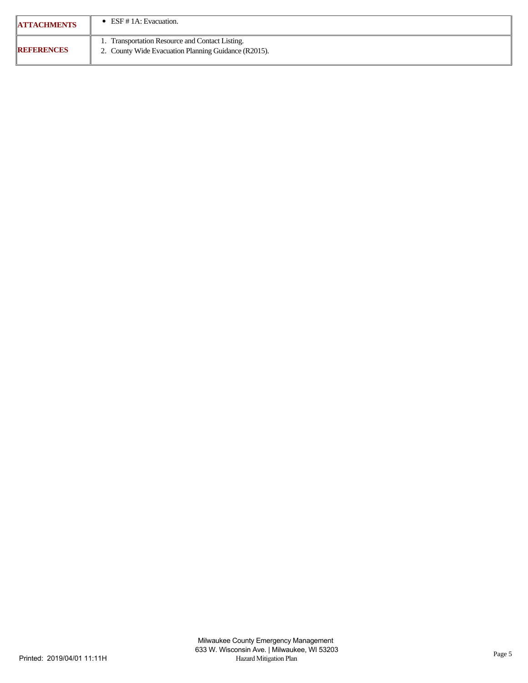| <b>  ATTACHMENTS</b> | $\bullet$ ESF # 1A: Evacuation.                                                                         |
|----------------------|---------------------------------------------------------------------------------------------------------|
| REFERENCES           | 1. Transportation Resource and Contact Listing.<br>2. County Wide Evacuation Planning Guidance (R2015). |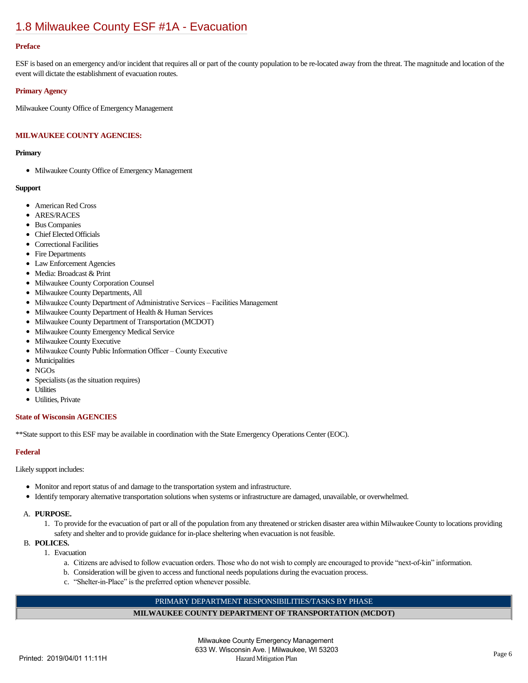# [1.8 Milwaukee County ESF #1A - Evacuation](https://milwaukeecounty.isc-cemp.com/Cemp/Details?id=5805887)

#### **Preface**

ESF is based on an emergency and/or incident that requires all or part of the county population to be re-located away from the threat. The magnitude and location of the event will dictate the establishment of evacuation routes.

#### **Primary Agency**

Milwaukee County Office of Emergency Management

## **MILWAUKEE COUNTY AGENCIES:**

#### **Primary**

Milwaukee County Office of Emergency Management

#### **Support**

- American Red Cross
- **ARES/RACES**
- Bus Companies
- Chief Elected Officials
- Correctional Facilities
- Fire Departments
- Law Enforcement Agencies
- $\bullet$ Media: Broadcast & Print
- $\bullet$ Milwaukee County Corporation Counsel
- $\bullet$ Milwaukee County Departments, All
- $\bullet$ Milwaukee County Department of Administrative Services – Facilities Management
- $\bullet$ Milwaukee County Department of Health & Human Services
- $\bullet$ Milwaukee County Department of Transportation (MCDOT)
- $\bullet$ Milwaukee County Emergency Medical Service
- $\bullet$ Milwaukee County Executive
- $\bullet$ Milwaukee County Public Information Officer – County Executive
- $\bullet$ Municipalities
- $\bullet$ NGOs
- $\bullet$ Specialists (as the situation requires)
- $\bullet$ Utilities
- Utilities, Private  $\bullet$

## **State of Wisconsin AGENCIES**

\*\*State support to this ESF may be available in coordination with the State Emergency Operations Center (EOC).

## **Federal**

Likely support includes:

- Monitor and report status of and damage to the transportation system and infrastructure.
- $\bullet$ Identify temporary alternative transportation solutions when systems or infrastructure are damaged, unavailable, or overwhelmed.
- A. **PURPOSE.**
	- 1. To provide for the evacuation of part or all of the population from any threatened or stricken disaster area within Milwaukee County to locations providing safety and shelter and to provide guidance for in-place sheltering when evacuation is not feasible.

## B. **POLICES.**

- 1. Evacuation
	- a. Citizens are advised to follow evacuation orders. Those who do not wish to comply are encouraged to provide "next-of-kin" information.
	- b. Consideration will be given to access and functional needs populations during the evacuation process.
	- c. "Shelter-in-Place" is the preferred option whenever possible.

## PRIMARY DEPARTMENT RESPONSIBILITIES/TASKS BY PHASE

#### **MILWAUKEE COUNTY DEPARTMENT OF TRANSPORTATION (MCDOT)**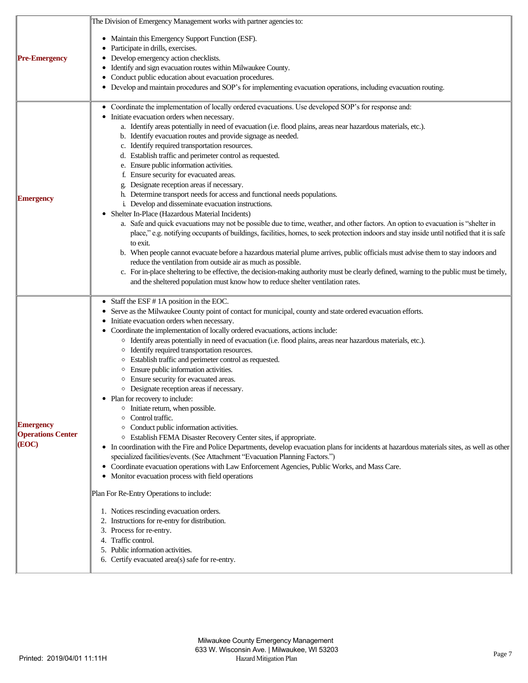|                                                       | The Division of Emergency Management works with partner agencies to:                                                                                                                                                                                                                                                                                                                                                                                                                                                                                                                                                                                                                                                                                                                                                                                                                                                                                                                                                                                                                                                                                                                                                                                                                                                                                                                                                                                                                                                                                                      |
|-------------------------------------------------------|---------------------------------------------------------------------------------------------------------------------------------------------------------------------------------------------------------------------------------------------------------------------------------------------------------------------------------------------------------------------------------------------------------------------------------------------------------------------------------------------------------------------------------------------------------------------------------------------------------------------------------------------------------------------------------------------------------------------------------------------------------------------------------------------------------------------------------------------------------------------------------------------------------------------------------------------------------------------------------------------------------------------------------------------------------------------------------------------------------------------------------------------------------------------------------------------------------------------------------------------------------------------------------------------------------------------------------------------------------------------------------------------------------------------------------------------------------------------------------------------------------------------------------------------------------------------------|
| <b>Pre-Emergency</b>                                  | Maintain this Emergency Support Function (ESF).<br>٠<br>Participate in drills, exercises.<br>Develop emergency action checklists.<br>Identify and sign evacuation routes within Milwaukee County.<br>Conduct public education about evacuation procedures.<br>٠<br>Develop and maintain procedures and SOP's for implementing evacuation operations, including evacuation routing.                                                                                                                                                                                                                                                                                                                                                                                                                                                                                                                                                                                                                                                                                                                                                                                                                                                                                                                                                                                                                                                                                                                                                                                        |
| Emergency                                             | Coordinate the implementation of locally ordered evacuations. Use developed SOP's for response and:<br>٠<br>Initiate evacuation orders when necessary.<br>a. Identify areas potentially in need of evacuation (i.e. flood plains, areas near hazardous materials, etc.).<br>b. Identify evacuation routes and provide signage as needed.<br>c. Identify required transportation resources.<br>d. Establish traffic and perimeter control as requested.<br>e. Ensure public information activities.<br>f. Ensure security for evacuated areas.<br>g. Designate reception areas if necessary.<br>h. Determine transport needs for access and functional needs populations.<br>i. Develop and disseminate evacuation instructions.<br>• Shelter In-Place (Hazardous Material Incidents)<br>a. Safe and quick evacuations may not be possible due to time, weather, and other factors. An option to evacuation is "shelter in<br>place," e.g. notifying occupants of buildings, facilities, homes, to seek protection indoors and stay inside until notified that it is safe<br>to exit.<br>b. When people cannot evacuate before a hazardous material plume arrives, public officials must advise them to stay indoors and<br>reduce the ventilation from outside air as much as possible.<br>c. For in-place sheltering to be effective, the decision-making authority must be clearly defined, warning to the public must be timely,<br>and the sheltered population must know how to reduce shelter ventilation rates.                                                    |
| <b>Emergency</b><br><b>Operations Center</b><br>(EOC) | Staff the ESF #1A position in the EOC.<br>٠<br>Serve as the Milwaukee County point of contact for municipal, county and state ordered evacuation efforts.<br>Initiate evacuation orders when necessary.<br>• Coordinate the implementation of locally ordered evacuations, actions include:<br>○ Identify areas potentially in need of evacuation (i.e. flood plains, areas near hazardous materials, etc.).<br>Identify required transportation resources.<br>Establish traffic and perimeter control as requested.<br>$\circ$<br>Ensure public information activities.<br>$\circ$<br>Ensure security for evacuated areas.<br>• Designate reception areas if necessary.<br>• Plan for recovery to include:<br>Initiate return, when possible.<br>Control traffic.<br>Conduct public information activities.<br>Establish FEMA Disaster Recovery Center sites, if appropriate.<br>$\circ$<br>• In coordination with the Fire and Police Departments, develop evacuation plans for incidents at hazardous materials sites, as well as other<br>specialized facilities/events. (See Attachment "Evacuation Planning Factors.")<br>• Coordinate evacuation operations with Law Enforcement Agencies, Public Works, and Mass Care.<br>• Monitor evacuation process with field operations<br>Plan For Re-Entry Operations to include:<br>1. Notices rescinding evacuation orders.<br>2. Instructions for re-entry for distribution.<br>3. Process for re-entry.<br>4. Traffic control.<br>5. Public information activities.<br>6. Certify evacuated area(s) safe for re-entry. |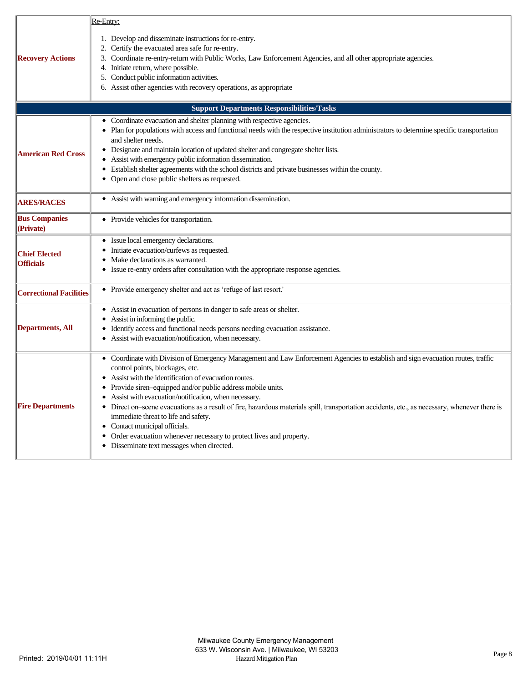|                                          | Re-Entry:                                                                                                                                                                                                                                                                                                                                                                                                                                                                                                                                                                                                                                                                                                  |
|------------------------------------------|------------------------------------------------------------------------------------------------------------------------------------------------------------------------------------------------------------------------------------------------------------------------------------------------------------------------------------------------------------------------------------------------------------------------------------------------------------------------------------------------------------------------------------------------------------------------------------------------------------------------------------------------------------------------------------------------------------|
| <b>Recovery Actions</b>                  | 1. Develop and disseminate instructions for re-entry.<br>2. Certify the evacuated area safe for re-entry.<br>3. Coordinate re-entry-return with Public Works, Law Enforcement Agencies, and all other appropriate agencies.<br>4. Initiate return, where possible.<br>5. Conduct public information activities.<br>6. Assist other agencies with recovery operations, as appropriate                                                                                                                                                                                                                                                                                                                       |
|                                          | <b>Support Departments Responsibilities/Tasks</b>                                                                                                                                                                                                                                                                                                                                                                                                                                                                                                                                                                                                                                                          |
| <b>American Red Cross</b>                | • Coordinate evacuation and shelter planning with respective agencies.<br>• Plan for populations with access and functional needs with the respective institution administrators to determine specific transportation<br>and shelter needs.<br>• Designate and maintain location of updated shelter and congregate shelter lists.<br>Assist with emergency public information dissemination.<br>٠<br>• Establish shelter agreements with the school districts and private businesses within the county.<br>Open and close public shelters as requested.                                                                                                                                                    |
| <b>ARES/RACES</b>                        | • Assist with warning and emergency information dissemination.                                                                                                                                                                                                                                                                                                                                                                                                                                                                                                                                                                                                                                             |
| <b>Bus Companies</b><br>(Private)        | • Provide vehicles for transportation.                                                                                                                                                                                                                                                                                                                                                                                                                                                                                                                                                                                                                                                                     |
| <b>Chief Elected</b><br><b>Officials</b> | • Issue local emergency declarations.<br>• Initiate evacuation/curfews as requested.<br>Make declarations as warranted.<br>٠<br>• Issue re-entry orders after consultation with the appropriate response agencies.                                                                                                                                                                                                                                                                                                                                                                                                                                                                                         |
| <b>Correctional Facilities</b>           | • Provide emergency shelter and act as 'refuge of last resort.'                                                                                                                                                                                                                                                                                                                                                                                                                                                                                                                                                                                                                                            |
| <b>Departments, All</b>                  | • Assist in evacuation of persons in danger to safe areas or shelter.<br>Assist in informing the public.<br>٠<br>Identify access and functional needs persons needing evacuation assistance.<br>٠<br>Assist with evacuation/notification, when necessary.                                                                                                                                                                                                                                                                                                                                                                                                                                                  |
| <b>Fire Departments</b>                  | • Coordinate with Division of Emergency Management and Law Enforcement Agencies to establish and sign evacuation routes, traffic<br>control points, blockages, etc.<br>Assist with the identification of evacuation routes.<br>Provide siren-equipped and/or public address mobile units.<br>٠<br>Assist with evacuation/notification, when necessary.<br>• Direct on-scene evacuations as a result of fire, hazardous materials spill, transportation accidents, etc., as necessary, whenever there is<br>immediate threat to life and safety.<br>• Contact municipal officials.<br>Order evacuation whenever necessary to protect lives and property.<br>٠<br>• Disseminate text messages when directed. |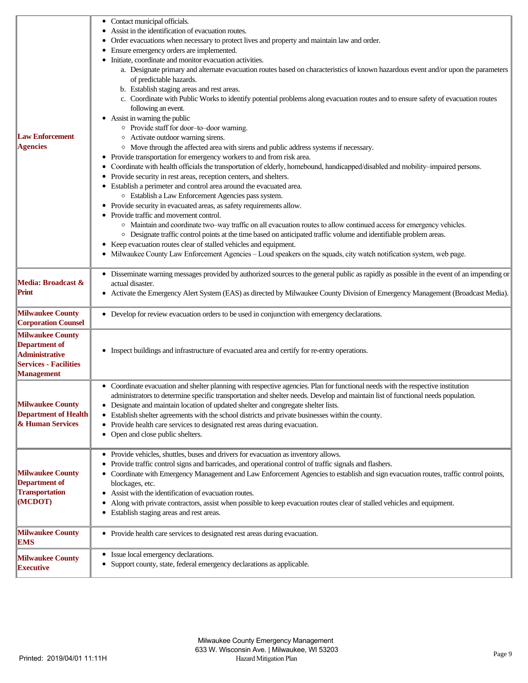| <b>Law Enforcement</b><br><b>Agencies</b>                                                                                     | • Contact municipal officials.<br>Assist in the identification of evacuation routes.<br>٠<br>Order evacuations when necessary to protect lives and property and maintain law and order.<br>٠<br>Ensure emergency orders are implemented.<br>Initiate, coordinate and monitor evacuation activities.<br>a. Designate primary and alternate evacuation routes based on characteristics of known hazardous event and/or upon the parameters<br>of predictable hazards.<br>b. Establish staging areas and rest areas.<br>c. Coordinate with Public Works to identify potential problems along evacuation routes and to ensure safety of evacuation routes<br>following an event.<br>• Assist in warning the public<br>• Provide staff for door-to-door warning.<br>○ Activate outdoor warning sirens.<br>$\circ$ Move through the affected area with sirens and public address systems if necessary.<br>• Provide transportation for emergency workers to and from risk area.<br>Coordinate with health officials the transportation of elderly, homebound, handicapped/disabled and mobility-impaired persons.<br>٠<br>Provide security in rest areas, reception centers, and shelters.<br>٠<br>Establish a perimeter and control area around the evacuated area.<br>٠<br><sup>o</sup> Establish a Law Enforcement Agencies pass system.<br>• Provide security in evacuated areas, as safety requirements allow.<br>• Provide traffic and movement control.<br>○ Maintain and coordinate two-way traffic on all evacuation routes to allow continued access for emergency vehicles.<br><sup>o</sup> Designate traffic control points at the time based on anticipated traffic volume and identifiable problem areas.<br>Keep evacuation routes clear of stalled vehicles and equipment.<br>٠<br>• Milwaukee County Law Enforcement Agencies - Loud speakers on the squads, city watch notification system, web page. |
|-------------------------------------------------------------------------------------------------------------------------------|-------------------------------------------------------------------------------------------------------------------------------------------------------------------------------------------------------------------------------------------------------------------------------------------------------------------------------------------------------------------------------------------------------------------------------------------------------------------------------------------------------------------------------------------------------------------------------------------------------------------------------------------------------------------------------------------------------------------------------------------------------------------------------------------------------------------------------------------------------------------------------------------------------------------------------------------------------------------------------------------------------------------------------------------------------------------------------------------------------------------------------------------------------------------------------------------------------------------------------------------------------------------------------------------------------------------------------------------------------------------------------------------------------------------------------------------------------------------------------------------------------------------------------------------------------------------------------------------------------------------------------------------------------------------------------------------------------------------------------------------------------------------------------------------------------------------------------------------------------------------------------------------------------------------|
| Media: Broadcast &<br>Print                                                                                                   | • Disseminate warning messages provided by authorized sources to the general public as rapidly as possible in the event of an impending or<br>actual disaster.<br>• Activate the Emergency Alert System (EAS) as directed by Milwaukee County Division of Emergency Management (Broadcast Media).                                                                                                                                                                                                                                                                                                                                                                                                                                                                                                                                                                                                                                                                                                                                                                                                                                                                                                                                                                                                                                                                                                                                                                                                                                                                                                                                                                                                                                                                                                                                                                                                                 |
| <b>Milwaukee County</b><br><b>Corporation Counsel</b>                                                                         | • Develop for review evacuation orders to be used in conjunction with emergency declarations.                                                                                                                                                                                                                                                                                                                                                                                                                                                                                                                                                                                                                                                                                                                                                                                                                                                                                                                                                                                                                                                                                                                                                                                                                                                                                                                                                                                                                                                                                                                                                                                                                                                                                                                                                                                                                     |
| <b>Milwaukee County</b><br><b>Department of</b><br><b>Administrative</b><br><b>Services - Facilities</b><br><b>Management</b> | • Inspect buildings and infrastructure of evacuated area and certify for re-entry operations.                                                                                                                                                                                                                                                                                                                                                                                                                                                                                                                                                                                                                                                                                                                                                                                                                                                                                                                                                                                                                                                                                                                                                                                                                                                                                                                                                                                                                                                                                                                                                                                                                                                                                                                                                                                                                     |
| <b>Milwaukee County</b><br><b>Department of Health</b><br>& Human Services                                                    | • Coordinate evacuation and shelter planning with respective agencies. Plan for functional needs with the respective institution<br>administrators to determine specific transportation and shelter needs. Develop and maintain list of functional needs population.<br>• Designate and maintain location of updated shelter and congregate shelter lists.<br>Establish shelter agreements with the school districts and private businesses within the county.<br>Provide health care services to designated rest areas during evacuation.<br>$\bullet$<br>Open and close public shelters.<br>٠                                                                                                                                                                                                                                                                                                                                                                                                                                                                                                                                                                                                                                                                                                                                                                                                                                                                                                                                                                                                                                                                                                                                                                                                                                                                                                                   |
| <b>Milwaukee County</b><br><b>Department of</b><br><b>Transportation</b><br>(MCDOT)                                           | • Provide vehicles, shuttles, buses and drivers for evacuation as inventory allows.<br>Provide traffic control signs and barricades, and operational control of traffic signals and flashers.<br>٠<br>Coordinate with Emergency Management and Law Enforcement Agencies to establish and sign evacuation routes, traffic control points,<br>٠<br>blockages, etc.<br>• Assist with the identification of evacuation routes.<br>Along with private contractors, assist when possible to keep evacuation routes clear of stalled vehicles and equipment.<br>٠<br>Establish staging areas and rest areas.<br>٠                                                                                                                                                                                                                                                                                                                                                                                                                                                                                                                                                                                                                                                                                                                                                                                                                                                                                                                                                                                                                                                                                                                                                                                                                                                                                                        |
| <b>Milwaukee County</b><br><b>EMS</b>                                                                                         | • Provide health care services to designated rest areas during evacuation.                                                                                                                                                                                                                                                                                                                                                                                                                                                                                                                                                                                                                                                                                                                                                                                                                                                                                                                                                                                                                                                                                                                                                                                                                                                                                                                                                                                                                                                                                                                                                                                                                                                                                                                                                                                                                                        |
| <b>Milwaukee County</b><br><b>Executive</b>                                                                                   | Issue local emergency declarations.<br>٠<br>Support county, state, federal emergency declarations as applicable.<br>٠                                                                                                                                                                                                                                                                                                                                                                                                                                                                                                                                                                                                                                                                                                                                                                                                                                                                                                                                                                                                                                                                                                                                                                                                                                                                                                                                                                                                                                                                                                                                                                                                                                                                                                                                                                                             |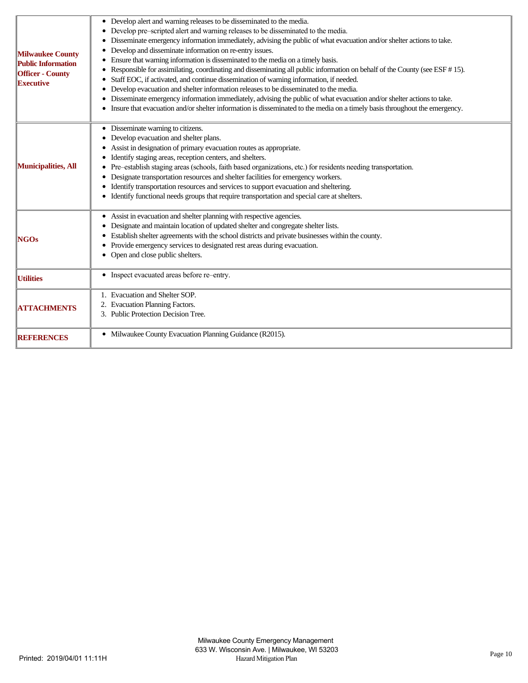| <b>Milwaukee County</b><br><b>Public Information</b><br><b>Officer - County</b><br>Executive | Develop alert and warning releases to be disseminated to the media.<br>٠<br>Develop pre-scripted alert and warning releases to be disseminated to the media.<br>٠<br>Disseminate emergency information immediately, advising the public of what evacuation and/or shelter actions to take.<br>٠<br>Develop and disseminate information on re-entry issues.<br>٠<br>Ensure that warning information is disseminated to the media on a timely basis.<br>Responsible for assimilating, coordinating and disseminating all public information on behalf of the County (see ESF #15).<br>٠<br>Staff EOC, if activated, and continue dissemination of warning information, if needed.<br>٠<br>Develop evacuation and shelter information releases to be disseminated to the media.<br>٠<br>Disseminate emergency information immediately, advising the public of what evacuation and/or shelter actions to take.<br>٠<br>Insure that evacuation and/or shelter information is disseminated to the media on a timely basis throughout the emergency. |
|----------------------------------------------------------------------------------------------|-----------------------------------------------------------------------------------------------------------------------------------------------------------------------------------------------------------------------------------------------------------------------------------------------------------------------------------------------------------------------------------------------------------------------------------------------------------------------------------------------------------------------------------------------------------------------------------------------------------------------------------------------------------------------------------------------------------------------------------------------------------------------------------------------------------------------------------------------------------------------------------------------------------------------------------------------------------------------------------------------------------------------------------------------|
| Municipalities, All                                                                          | • Disseminate warning to citizens.<br>Develop evacuation and shelter plans.<br>٠<br>Assist in designation of primary evacuation routes as appropriate.<br>Identify staging areas, reception centers, and shelters.<br>٠<br>Pre-establish staging areas (schools, faith based organizations, etc.) for residents needing transportation.<br>Designate transportation resources and shelter facilities for emergency workers.<br>٠<br>Identify transportation resources and services to support evacuation and sheltering.<br>٠<br>Identify functional needs groups that require transportation and special care at shelters.<br>٠                                                                                                                                                                                                                                                                                                                                                                                                              |
| <b>NGOs</b>                                                                                  | Assist in evacuation and shelter planning with respective agencies.<br>٠<br>Designate and maintain location of updated shelter and congregate shelter lists.<br>٠<br>Establish shelter agreements with the school districts and private businesses within the county.<br>٠<br>Provide emergency services to designated rest areas during evacuation.<br>٠<br>Open and close public shelters.<br>٠                                                                                                                                                                                                                                                                                                                                                                                                                                                                                                                                                                                                                                             |
| <b>Utilities</b>                                                                             | • Inspect evacuated areas before re-entry.                                                                                                                                                                                                                                                                                                                                                                                                                                                                                                                                                                                                                                                                                                                                                                                                                                                                                                                                                                                                    |
| <b>ATTACHMENTS</b>                                                                           | 1. Evacuation and Shelter SOP.<br>2. Evacuation Planning Factors.<br>3. Public Protection Decision Tree.                                                                                                                                                                                                                                                                                                                                                                                                                                                                                                                                                                                                                                                                                                                                                                                                                                                                                                                                      |
| <b>REFERENCES</b>                                                                            | • Milwaukee County Evacuation Planning Guidance (R2015).                                                                                                                                                                                                                                                                                                                                                                                                                                                                                                                                                                                                                                                                                                                                                                                                                                                                                                                                                                                      |
|                                                                                              |                                                                                                                                                                                                                                                                                                                                                                                                                                                                                                                                                                                                                                                                                                                                                                                                                                                                                                                                                                                                                                               |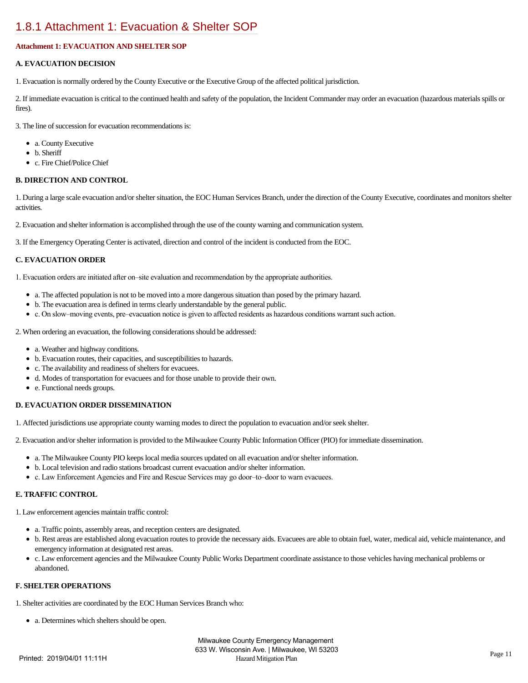# [1.8.1 Attachment 1: Evacuation & Shelter SOP](https://milwaukeecounty.isc-cemp.com/Cemp/Details?id=5809849)

## **Attachment 1: EVACUATION AND SHELTER SOP**

## **A. EVACUATION DECISION**

1. Evacuation is normally ordered by the County Executive or the Executive Group of the affected political jurisdiction.

2. If immediate evacuation is critical to the continued health and safety of the population, the Incident Commander may order an evacuation (hazardous materials spills or fires).

3. The line of succession for evacuation recommendations is:

- a. County Executive
- b. Sheriff
- c. Fire Chief/Police Chief

## **B. DIRECTION AND CONTROL**

1. During a large scale evacuation and/or shelter situation, the EOC Human Services Branch, under the direction of the County Executive, coordinates and monitors shelter activities.

2. Evacuation and shelter information is accomplished through the use of the county warning and communication system.

3. If the Emergency Operating Center is activated, direction and control of the incident is conducted from the EOC.

## **C. EVACUATION ORDER**

1. Evacuation orders are initiated after on–site evaluation and recommendation by the appropriate authorities.

- a. The affected population is not to be moved into a more dangerous situation than posed by the primary hazard.
- b. The evacuation area is defined in terms clearly understandable by the general public.
- c. On slow–moving events, pre–evacuation notice is given to affected residents as hazardous conditions warrant such action.
- 2. When ordering an evacuation, the following considerations should be addressed:
	- a. Weather and highway conditions.
	- b. Evacuation routes, their capacities, and susceptibilities to hazards.
	- c. The availability and readiness of shelters for evacuees.
	- d. Modes of transportation for evacuees and for those unable to provide their own.
	- e. Functional needs groups.

## **D. EVACUATION ORDER DISSEMINATION**

1. Affected jurisdictions use appropriate county warning modes to direct the population to evacuation and/or seek shelter.

2. Evacuation and/or shelter information is provided to the Milwaukee County Public Information Officer (PIO) for immediate dissemination.

- a. The Milwaukee County PIO keeps local media sources updated on all evacuation and/or shelter information.
- b. Local television and radio stations broadcast current evacuation and/or shelter information.
- c. Law Enforcement Agencies and Fire and Rescue Services may go door–to–door to warn evacuees.

## **E. TRAFFIC CONTROL**

1. Law enforcement agencies maintain traffic control:

- a. Traffic points, assembly areas, and reception centers are designated.
- b. Rest areas are established along evacuation routes to provide the necessary aids. Evacuees are able to obtain fuel, water, medical aid, vehicle maintenance, and emergency information at designated rest areas.
- c. Law enforcement agencies and the Milwaukee County Public Works Department coordinate assistance to those vehicles having mechanical problems or abandoned.

## **F. SHELTER OPERATIONS**

1. Shelter activities are coordinated by the EOC Human Services Branch who:

a. Determines which shelters should be open.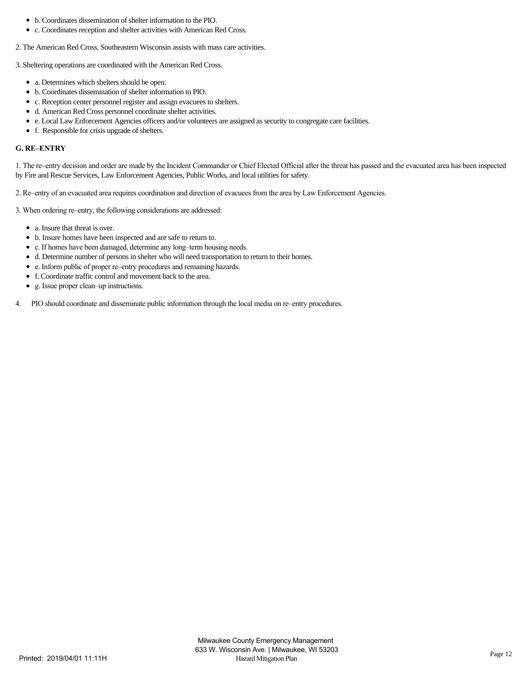- b. Coordinates dissemination of shelter information to the PIO.
- c. Coordinates reception and shelter activities with American Red Cross.
- 2. The American Red Cross, Southeastern Wisconsin assists with mass care activities.

3. Sheltering operations are coordinated with the American Red Cross.

- a. Determines which shelters should be open.
- b. Coordinates dissemination of shelter information to PIO.
- c. Reception center personnel register and assign evacuees to shelters.
- d. American Red Cross personnel coordinate shelter activities.
- e. Local Law Enforcement Agencies officers and/or volunteers are assigned as security to congregate care facilities.
- f. Responsible for crisis upgrade of shelters.

#### **G. RE–ENTRY**

1. The re–entry decision and order are made by the Incident Commander or Chief Elected Official after the threat has passed and the evacuated area has been inspected by Fire and Rescue Services, Law Enforcement Agencies, Public Works, and local utilities for safety.

2. Re–entry of an evacuated area requires coordination and direction of evacuees from the area by Law Enforcement Agencies.

- 3. When ordering re–entry, the following considerations are addressed:
	- a. Insure that threat is over.
	- b. Insure homes have been inspected and are safe to return to.
	- c. If homes have been damaged, determine any long–term housing needs.
	- d. Determine number of persons in shelter who will need transportation to return to their homes.
	- e. Inform public of proper re–entry procedures and remaining hazards.  $\bullet$
	- f. Coordinate traffic control and movement back to the area.
	- g. Issue proper clean–up instructions.  $\bullet$
- 4. PIO should coordinate and disseminate public information through the local media on re–entry procedures.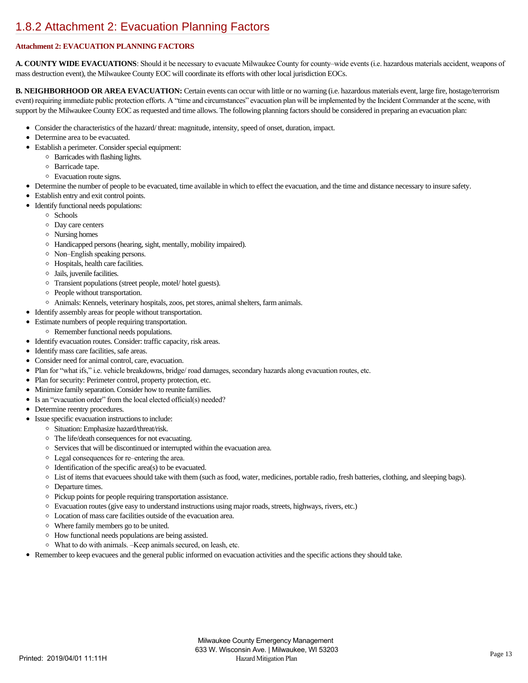# [1.8.2 Attachment 2: Evacuation Planning Factors](https://milwaukeecounty.isc-cemp.com/Cemp/Details?id=5809851)

## **Attachment 2: EVACUATION PLANNING FACTORS**

**A. COUNTY WIDE EVACUATIONS**: Should it be necessary to evacuate Milwaukee County for county–wide events (i.e. hazardous materials accident, weapons of mass destruction event), the Milwaukee County EOC will coordinate its efforts with other local jurisdiction EOCs.

**B. NEIGHBORHOOD OR AREA EVACUATION:** Certain events can occur with little or no warning (i.e. hazardous materials event, large fire, hostage/terrorism event) requiring immediate public protection efforts. A "time and circumstances" evacuation plan will be implemented by the Incident Commander at the scene, with support by the Milwaukee County EOC as requested and time allows. The following planning factors should be considered in preparing an evacuation plan:

- Consider the characteristics of the hazard/ threat: magnitude, intensity, speed of onset, duration, impact.
- Determine area to be evacuated.
- Establish a perimeter. Consider special equipment:
	- Barricades with flashing lights.
	- Barricade tape.
	- Evacuation route signs.
- Determine the number of people to be evacuated, time available in which to effect the evacuation, and the time and distance necessary to insure safety.
- Establish entry and exit control points.
- Identify functional needs populations:
	- Schools

 $\bullet$ 

 $\bullet$ 

- Day care centers
- Nursing homes
- Handicapped persons (hearing, sight, mentally, mobility impaired).
- Non–English speaking persons.
- Hospitals, health care facilities.
- Jails, juvenile facilities.
- Transient populations (street people, motel/ hotel guests).
- People without transportation.
- Animals: Kennels, veterinary hospitals, zoos, pet stores, animal shelters, farm animals.
- Identify assembly areas for people without transportation.
- Estimate numbers of people requiring transportation.
	- Remember functional needs populations.
- Identify evacuation routes. Consider: traffic capacity, risk areas.
- $\bullet$ Identify mass care facilities, safe areas.
- $\bullet$ Consider need for animal control, care, evacuation.
- $\bullet$ Plan for "what ifs," i.e. vehicle breakdowns, bridge/ road damages, secondary hazards along evacuation routes, etc.
- $\bullet$ Plan for security: Perimeter control, property protection, etc.
- $\bullet$ Minimize family separation. Consider how to reunite families.
- Is an "evacuation order" from the local elected official(s) needed?  $\bullet$
- Determine reentry procedures.  $\bullet$ 
	- Issue specific evacuation instructions to include:
		- Situation: Emphasize hazard/threat/risk.
		- The life/death consequences for not evacuating.
		- Services that will be discontinued or interrupted within the evacuation area.
		- Legal consequences for re–entering the area.
		- $\circ$  Identification of the specific area(s) to be evacuated.
		- List of items that evacuees should take with them (such as food, water, medicines, portable radio, fresh batteries, clothing, and sleeping bags).
		- Departure times.
		- Pickup points for people requiring transportation assistance.
		- Evacuation routes (give easy to understand instructions using major roads, streets, highways, rivers, etc.)
		- Location of mass care facilities outside of the evacuation area.
		- Where family members go to be united.
		- How functional needs populations are being assisted.
		- What to do with animals. –Keep animals secured, on leash, etc.
- Remember to keep evacuees and the general public informed on evacuation activities and the specific actions they should take.